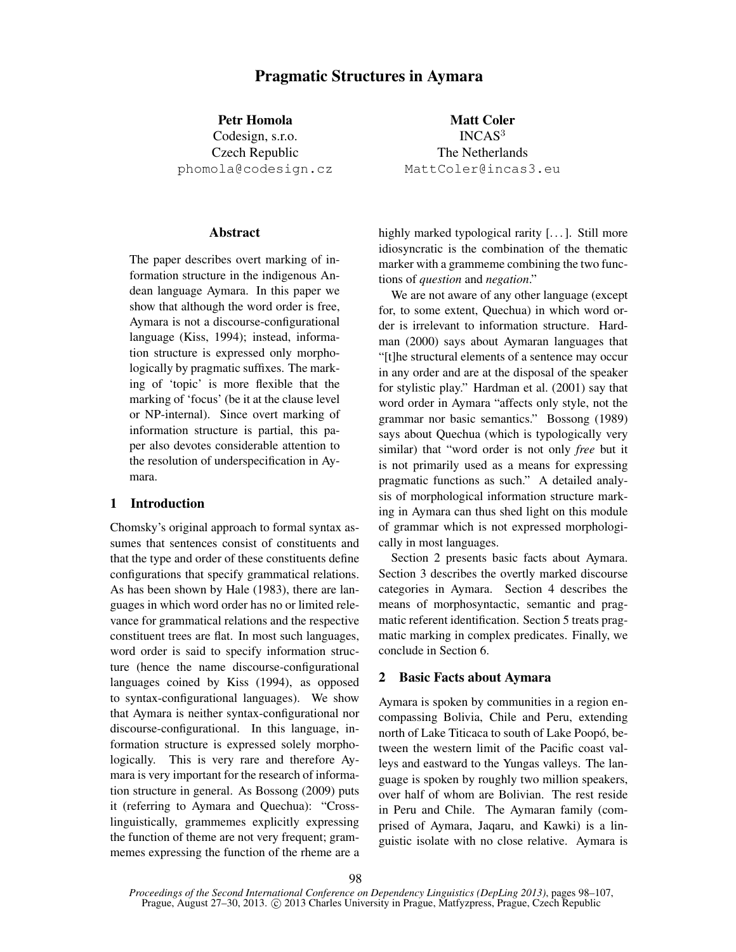# Pragmatic Structures in Aymara

Petr Homola Codesign, s.r.o. Czech Republic phomola@codesign.cz

## Abstract

The paper describes overt marking of information structure in the indigenous Andean language Aymara. In this paper we show that although the word order is free, Aymara is not a discourse-configurational language (Kiss, 1994); instead, information structure is expressed only morphologically by pragmatic suffixes. The marking of 'topic' is more flexible that the marking of 'focus' (be it at the clause level or NP-internal). Since overt marking of information structure is partial, this paper also devotes considerable attention to the resolution of underspecification in Aymara.

## 1 Introduction

Chomsky's original approach to formal syntax assumes that sentences consist of constituents and that the type and order of these constituents define configurations that specify grammatical relations. As has been shown by Hale (1983), there are languages in which word order has no or limited relevance for grammatical relations and the respective constituent trees are flat. In most such languages, word order is said to specify information structure (hence the name discourse-configurational languages coined by Kiss (1994), as opposed to syntax-configurational languages). We show that Aymara is neither syntax-configurational nor discourse-configurational. In this language, information structure is expressed solely morphologically. This is very rare and therefore Aymara is very important for the research of information structure in general. As Bossong (2009) puts it (referring to Aymara and Quechua): "Crosslinguistically, grammemes explicitly expressing the function of theme are not very frequent; grammemes expressing the function of the rheme are a

Matt Coler INCAS<sup>3</sup> The Netherlands MattColer@incas3.eu

highly marked typological rarity [...]. Still more idiosyncratic is the combination of the thematic marker with a grammeme combining the two functions of *question* and *negation*."

We are not aware of any other language (except for, to some extent, Quechua) in which word order is irrelevant to information structure. Hardman (2000) says about Aymaran languages that "[t]he structural elements of a sentence may occur in any order and are at the disposal of the speaker for stylistic play." Hardman et al. (2001) say that word order in Aymara "affects only style, not the grammar nor basic semantics." Bossong (1989) says about Quechua (which is typologically very similar) that "word order is not only *free* but it is not primarily used as a means for expressing pragmatic functions as such." A detailed analysis of morphological information structure marking in Aymara can thus shed light on this module of grammar which is not expressed morphologically in most languages.

Section 2 presents basic facts about Aymara. Section 3 describes the overtly marked discourse categories in Aymara. Section 4 describes the means of morphosyntactic, semantic and pragmatic referent identification. Section 5 treats pragmatic marking in complex predicates. Finally, we conclude in Section 6.

#### 2 Basic Facts about Aymara

Aymara is spoken by communities in a region encompassing Bolivia, Chile and Peru, extending north of Lake Titicaca to south of Lake Poopó, between the western limit of the Pacific coast valleys and eastward to the Yungas valleys. The language is spoken by roughly two million speakers, over half of whom are Bolivian. The rest reside in Peru and Chile. The Aymaran family (comprised of Aymara, Jaqaru, and Kawki) is a linguistic isolate with no close relative. Aymara is

*Proceedings of the Second International Conference on Dependency Linguistics (DepLing 2013)*, pages 98–107, Prague, August 27–30, 2013. © 2013 Charles University in Prague, Matfyzpress, Prague, Czech Republic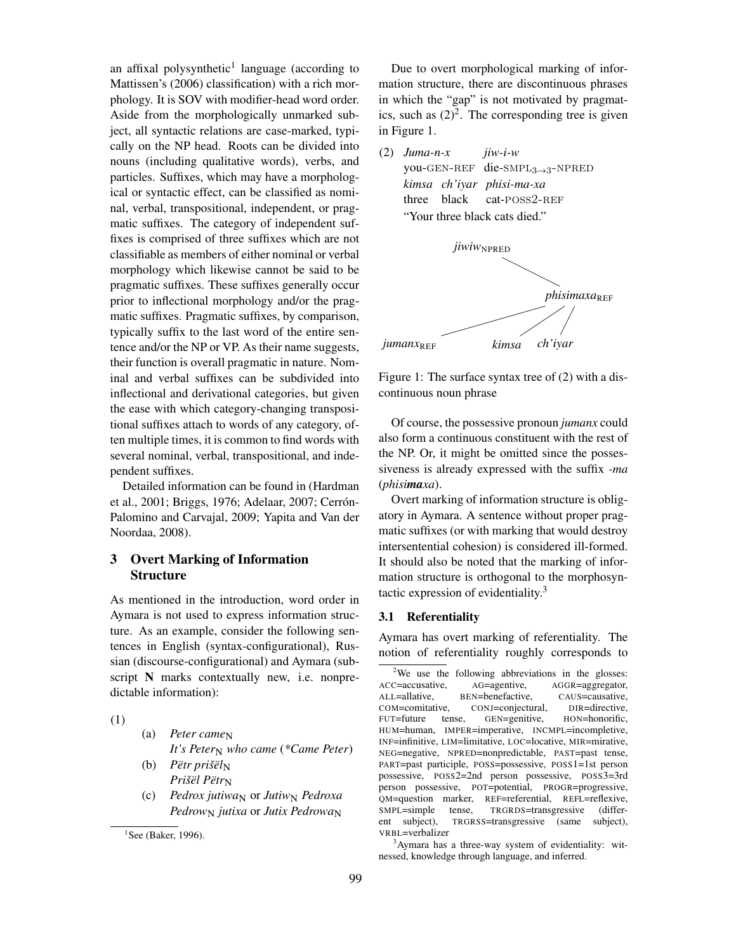an affixal polysynthetic<sup>1</sup> language (according to Mattissen's (2006) classification) with a rich morphology. It is SOV with modifier-head word order. Aside from the morphologically unmarked subject, all syntactic relations are case-marked, typically on the NP head. Roots can be divided into nouns (including qualitative words), verbs, and particles. Suffixes, which may have a morphological or syntactic effect, can be classified as nominal, verbal, transpositional, independent, or pragmatic suffixes. The category of independent suffixes is comprised of three suffixes which are not classifiable as members of either nominal or verbal morphology which likewise cannot be said to be pragmatic suffixes. These suffixes generally occur prior to inflectional morphology and/or the pragmatic suffixes. Pragmatic suffixes, by comparison, typically suffix to the last word of the entire sentence and/or the NP or VP. As their name suggests, their function is overall pragmatic in nature. Nominal and verbal suffixes can be subdivided into inflectional and derivational categories, but given the ease with which category-changing transpositional suffixes attach to words of any category, often multiple times, it is common to find words with several nominal, verbal, transpositional, and independent suffixes.

Detailed information can be found in (Hardman et al., 2001; Briggs, 1976; Adelaar, 2007; Cerrón-Palomino and Carvajal, 2009; Yapita and Van der Noordaa, 2008).

# 3 Overt Marking of Information **Structure**

As mentioned in the introduction, word order in Aymara is not used to express information structure. As an example, consider the following sentences in English (syntax-configurational), Russian (discourse-configurational) and Aymara (subscript N marks contextually new, i.e. nonpredictable information):

(1)

- (a) *Peter came*N *It's Peter<sub>N</sub>* who came (\*Came Peter)
- (b) *Pëtr prišël*<sub>N</sub> *Prišël Pëtr*N
- (c) *Pedrox jutiwa*<sub>N</sub> or *Jutiw<sub>N</sub> Pedroxa Pedrow<sub>N</sub> jutixa* or *Jutix Pedrowa*<sub>N</sub>

Due to overt morphological marking of information structure, there are discontinuous phrases in which the "gap" is not motivated by pragmatics, such as  $(2)^2$ . The corresponding tree is given in Figure 1.





Figure 1: The surface syntax tree of (2) with a discontinuous noun phrase

Of course, the possessive pronoun *jumanx* could also form a continuous constituent with the rest of the NP. Or, it might be omitted since the possessiveness is already expressed with the suffix *-ma* (*phisimaxa*).

Overt marking of information structure is obligatory in Aymara. A sentence without proper pragmatic suffixes (or with marking that would destroy intersentential cohesion) is considered ill-formed. It should also be noted that the marking of information structure is orthogonal to the morphosyntactic expression of evidentiality. $3$ 

### 3.1 Referentiality

Aymara has overt marking of referentiality. The notion of referentiality roughly corresponds to

<sup>3</sup>Aymara has a three-way system of evidentiality: witnessed, knowledge through language, and inferred.

 ${}^{1}$ See (Baker, 1996).

<sup>&</sup>lt;sup>2</sup>We use the following abbreviations in the glosses: ACC=accusative, AG=agentive, AGGR=aggregator, ALL=allative, BEN=benefactive, CAUS=causative, COM=comitative, CONJ=conjectural, DIR=directive, FUT=future tense, GEN=genitive, HON=honorific, HUM=human, IMPER=imperative, INCMPL=incompletive, INF=infinitive, LIM=limitative, LOC=locative, MIR=mirative, NEG=negative, NPRED=nonpredictable, PAST=past tense, PART=past participle, POSS=possessive, POSS1=1st person possessive, POSS2=2nd person possessive, POSS3=3rd person possessive, POT=potential, PROGR=progressive, QM=question marker, REF=referential, REFL=reflexive, SMPL=simple tense, TRGRDS=transgressive (different subject), TRGRSS=transgressive (same subject), VRBL=verbalizer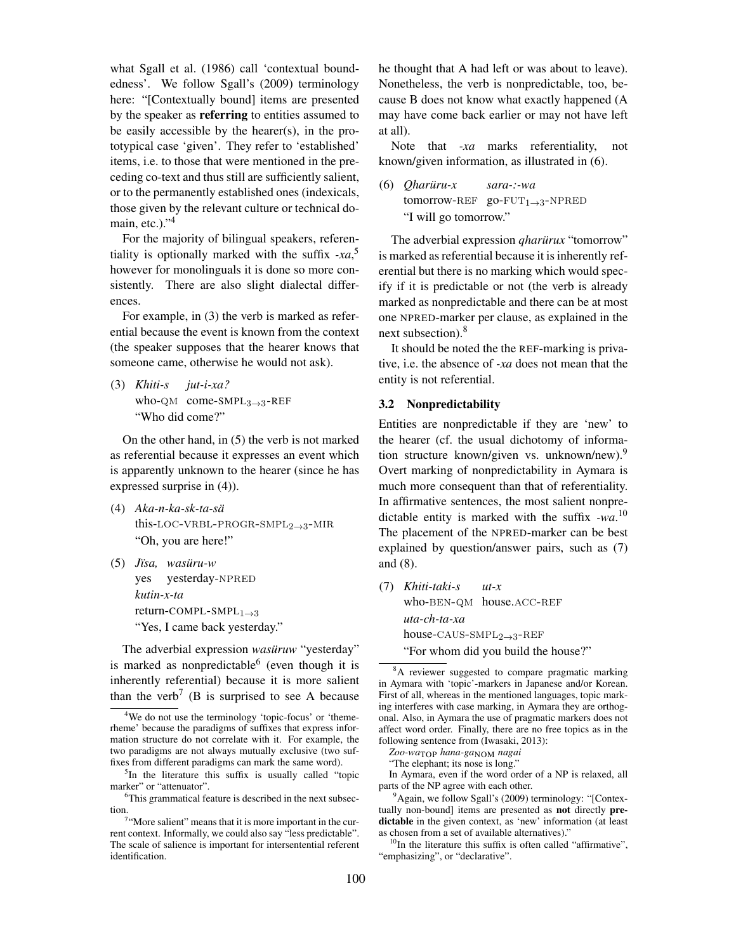what Sgall et al. (1986) call 'contextual boundedness'. We follow Sgall's (2009) terminology here: "[Contextually bound] items are presented by the speaker as **referring** to entities assumed to be easily accessible by the hearer(s), in the prototypical case 'given'. They refer to 'established' items, i.e. to those that were mentioned in the preceding co-text and thus still are sufficiently salient, or to the permanently established ones (indexicals, those given by the relevant culture or technical domain, etc.)."<sup>4</sup>

For the majority of bilingual speakers, referentiality is optionally marked with the suffix *-xa*, 5 however for monolinguals it is done so more consistently. There are also slight dialectal differences.

For example, in (3) the verb is marked as referential because the event is known from the context (the speaker supposes that the hearer knows that someone came, otherwise he would not ask).

(3) *Khiti-s* who-QM come-SMPL<sub>3→3</sub>-REF *jut-i-xa?* "Who did come?"

On the other hand, in (5) the verb is not marked as referential because it expresses an event which is apparently unknown to the hearer (since he has expressed surprise in (4)).

- (4) *Aka-n-ka-sk-ta-sä* this-LOC-VRBL-PROGR-SMPL $_{2\rightarrow 3}$ -MIR "Oh, you are here!"
- (5) *Jïsa, wasüru-w* yes yesterday-NPRED *kutin-x-ta* return-COMPL-SMPL $_{1\rightarrow 3}$ "Yes, I came back yesterday."

The adverbial expression *wasüruw* "yesterday" is marked as nonpredictable  $6$  (even though it is inherently referential) because it is more salient than the verb<sup>7</sup> (B is surprised to see A because

he thought that A had left or was about to leave). Nonetheless, the verb is nonpredictable, too, because B does not know what exactly happened (A may have come back earlier or may not have left at all).

Note that *-xa* marks referentiality, not known/given information, as illustrated in (6).

(6) *Qharüru-x* tomorrow-REF  $go-FUT_{1\rightarrow 3}$ -NPRED *sara-:-wa* "I will go tomorrow."

The adverbial expression *qharürux* "tomorrow" is marked as referential because it is inherently referential but there is no marking which would specify if it is predictable or not (the verb is already marked as nonpredictable and there can be at most one NPRED-marker per clause, as explained in the next subsection).<sup>8</sup>

It should be noted the the REF-marking is privative, i.e. the absence of *-xa* does not mean that the entity is not referential.

## 3.2 Nonpredictability

Entities are nonpredictable if they are 'new' to the hearer (cf. the usual dichotomy of information structure known/given vs. unknown/new).<sup>9</sup> Overt marking of nonpredictability in Aymara is much more consequent than that of referentiality. In affirmative sentences, the most salient nonpredictable entity is marked with the suffix *-wa*. 10 The placement of the NPRED-marker can be best explained by question/answer pairs, such as (7) and (8).

(7) *Khiti-taki-s* who-BEN-QM house.ACC-REF *ut-x uta-ch-ta-xa* house-CAUS-SMP $L_{2\rightarrow 3}$ -REF "For whom did you build the house?"

"The elephant; its nose is long."

In Aymara, even if the word order of a NP is relaxed, all parts of the NP agree with each other.

<sup>9</sup>Again, we follow Sgall's (2009) terminology: "[Contextually non-bound] items are presented as not directly predictable in the given context, as 'new' information (at least as chosen from a set of available alternatives)."

 $10$ In the literature this suffix is often called "affirmative", "emphasizing", or "declarative".

<sup>&</sup>lt;sup>4</sup>We do not use the terminology 'topic-focus' or 'themerheme' because the paradigms of suffixes that express information structure do not correlate with it. For example, the two paradigms are not always mutually exclusive (two suffixes from different paradigms can mark the same word).

<sup>&</sup>lt;sup>5</sup>In the literature this suffix is usually called "topic marker" or "attenuator".

<sup>6</sup>This grammatical feature is described in the next subsection.

<sup>&</sup>lt;sup>7</sup>"More salient" means that it is more important in the current context. Informally, we could also say "less predictable". The scale of salience is important for intersentential referent identification.

<sup>&</sup>lt;sup>8</sup>A reviewer suggested to compare pragmatic marking in Aymara with 'topic'-markers in Japanese and/or Korean. First of all, whereas in the mentioned languages, topic marking interferes with case marking, in Aymara they are orthogonal. Also, in Aymara the use of pragmatic markers does not affect word order. Finally, there are no free topics as in the following sentence from (Iwasaki, 2013):

*Zoo-wa*TOP *hana-ga*NOM *nagai*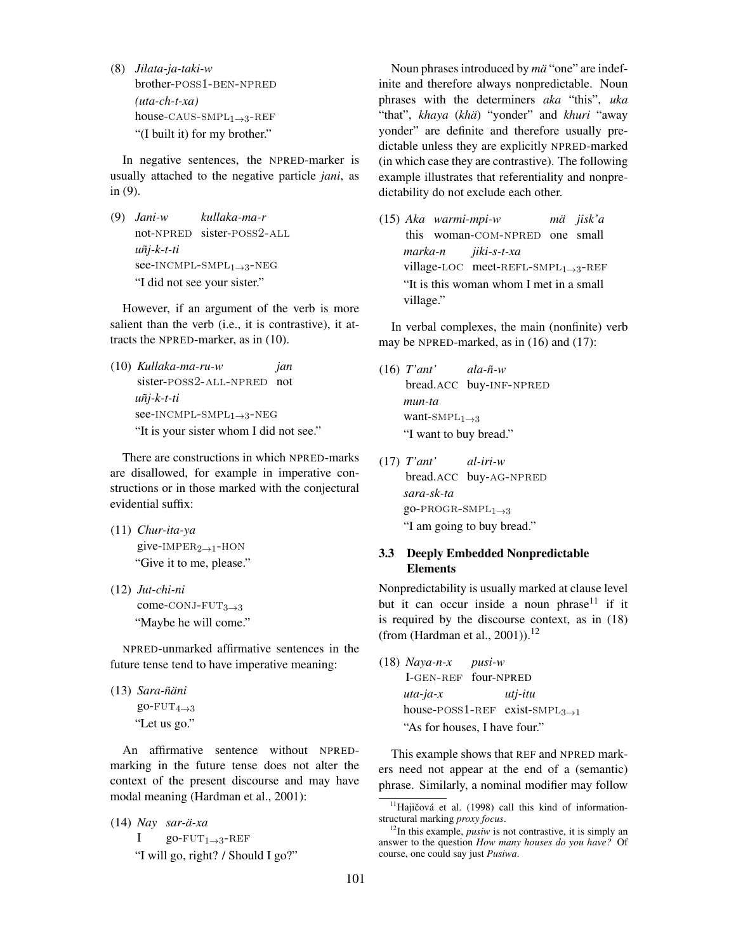(8) *Jilata-ja-taki-w* brother-poss1-ben-npred *(uta-ch-t-xa)* house-CAUS-SMP $L_{1\rightarrow 3}$ -REF "(I built it) for my brother."

In negative sentences, the NPRED-marker is usually attached to the negative particle *jani*, as in (9).

(9) *Jani-w* not-npred sister-poss2-all *kullaka-ma-r uñj-k-t-ti* see-INCMPL-SMPL<sub>1→3</sub>-NEG "I did not see your sister."

However, if an argument of the verb is more salient than the verb (i.e., it is contrastive), it attracts the NPRED-marker, as in (10).

(10) *Kullaka-ma-ru-w* sister-poss2-all-npred not *jan uñj-k-t-ti* see-INCMPL-SMPL<sub>1→3</sub>-NEG "It is your sister whom I did not see."

There are constructions in which NPRED-marks are disallowed, for example in imperative constructions or in those marked with the conjectural evidential suffix:

- (11) *Chur-ita-ya* give-IMPER<sub>2→1</sub>-HON "Give it to me, please."
- (12) *Jut-chi-ni* come- $\text{CONJ-FUT}_{3\rightarrow 3}$ "Maybe he will come."

NPRED-unmarked affirmative sentences in the future tense tend to have imperative meaning:

(13) *Sara-ñäni*  $g_0$ -FUT<sub>4→3</sub> "Let us go."

An affirmative sentence without NPREDmarking in the future tense does not alter the context of the present discourse and may have modal meaning (Hardman et al., 2001):

```
(14) Nay
sar-ä-xa
     I
            go-FUT_{1\rightarrow 3}-REF
     "I will go, right? / Should I go?"
```
Noun phrases introduced by *mä* "one" are indefinite and therefore always nonpredictable. Noun phrases with the determiners *aka* "this", *uka* "that", *khaya* (*khä*) "yonder" and *khuri* "away yonder" are definite and therefore usually predictable unless they are explicitly NPRED-marked (in which case they are contrastive). The following example illustrates that referentiality and nonpredictability do not exclude each other.

(15) *Aka warmi-mpi-w* this woman-COM-NPRED one small *mä jisk'a marka-n* village-LOC meet-REFL-SMPL<sub>1→3</sub>-REF *jiki-s-t-xa* "It is this woman whom I met in a small village."

In verbal complexes, the main (nonfinite) verb may be NPRED-marked, as in (16) and (17):

- (16) *T'ant'* bread.ACC buy-inf-npred *ala-ñ-w mun-ta* want- $\text{SMPL}_{1\rightarrow 3}$ "I want to buy bread."
- (17) *T'ant'* bread.ACC buy-ag-npred *al-iri-w sara-sk-ta*  $go-PROGR-SMPI<sub>1→3</sub>$ "I am going to buy bread."

# 3.3 Deeply Embedded Nonpredictable Elements

Nonpredictability is usually marked at clause level but it can occur inside a noun phrase<sup>11</sup> if it is required by the discourse context, as in (18) (from (Hardman et al., 2001)).<sup>12</sup>

(18) *Naya-n-x* I-gen-ref four-NPRED *pusi-w uta-ja-x*  $house-POSS1-REF$  exist-SMPL<sub>3→1</sub> *utj-itu* "As for houses, I have four."

This example shows that REF and NPRED markers need not appear at the end of a (semantic) phrase. Similarly, a nominal modifier may follow

 $11$ Hajičová et al. (1998) call this kind of informationstructural marking *proxy focus*.

 $12$ In this example, *pusiw* is not contrastive, it is simply an answer to the question *How many houses do you have?* Of course, one could say just *Pusiwa*.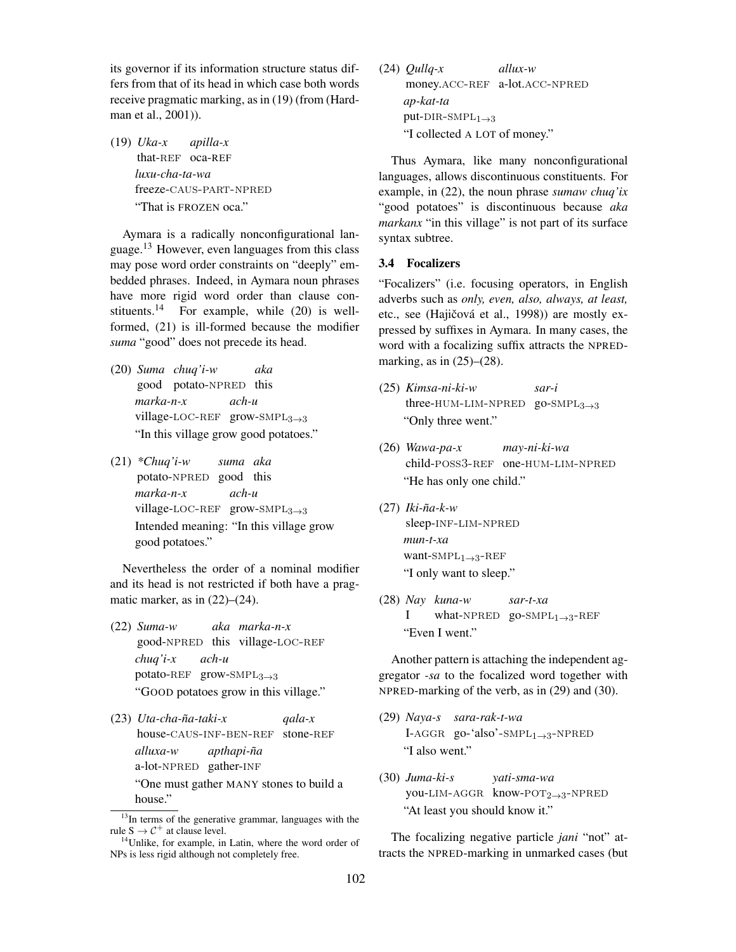its governor if its information structure status differs from that of its head in which case both words receive pragmatic marking, as in (19) (from (Hardman et al., 2001)).

(19) *Uka-x* that-REF oca-REF *apilla-x luxu-cha-ta-wa* freeze-caus-part-npred "That is FROZEN oca."

Aymara is a radically nonconfigurational language.<sup>13</sup> However, even languages from this class may pose word order constraints on "deeply" embedded phrases. Indeed, in Aymara noun phrases have more rigid word order than clause constituents.<sup>14</sup> For example, while  $(20)$  is wellformed, (21) is ill-formed because the modifier *suma* "good" does not precede its head.

- (20) *Suma chuq'i-w* good potato-NPRED this *aka marka-n-x* village-LOC-REF grow-SMPL<sub>3→3</sub> *ach-u* "In this village grow good potatoes."
- (21) *\*Chuq'i-w* potato-NPRED good this *suma aka marka-n-x* village-LOC-REF grow-SMPL<sub>3→3</sub> *ach-u* Intended meaning: "In this village grow good potatoes."

Nevertheless the order of a nominal modifier and its head is not restricted if both have a pragmatic marker, as in  $(22)$ – $(24)$ .

- (22) *Suma-w* good-NPRED this village-LOC-REF *aka marka-n-x chuq'i-x* potato-REF grow-SMPL<sub>3→3</sub> *ach-u* "GOOD potatoes grow in this village."
- (23) *Uta-cha-ña-taki-x* house-CAUS-INF-BEN-REF stone-REF *qala-x alluxa-w* a-lot-NPRED gather-INF *apthapi-ña* "One must gather MANY stones to build a house."

(24) *Qullq-x* money.ACC-REF a-lot.ACC-NPRED *allux-w ap-kat-ta* put-DIR-SMPL $_{1\rightarrow 3}$ "I collected A LOT of money."

Thus Aymara, like many nonconfigurational languages, allows discontinuous constituents. For example, in (22), the noun phrase *sumaw chuq'ix* "good potatoes" is discontinuous because *aka markanx* "in this village" is not part of its surface syntax subtree.

## 3.4 Focalizers

"Focalizers" (i.e. focusing operators, in English adverbs such as *only, even, also, always, at least,* etc., see (Hajičová et al., 1998)) are mostly expressed by suffixes in Aymara. In many cases, the word with a focalizing suffix attracts the NPREDmarking, as in  $(25)$ – $(28)$ .

- (25) *Kimsa-ni-ki-w* three-hum-lim-npred go-smpl3→<sup>3</sup> *sar-i* "Only three went."
- (26) *Wawa-pa-x* child-poss3-ref one-hum-lim-npred *may-ni-ki-wa* "He has only one child."
- (27) *Iki-ña-k-w* sleep-inf-lim-npred *mun-t-xa* want- $\text{SMPL}_1 \rightarrow 3$ -REF "I only want to sleep."
- (28) *Nay kuna-w* I what-NPRED go-SMPL<sub>1→3</sub>-REF *sar-t-xa* "Even I went."

Another pattern is attaching the independent aggregator *-sa* to the focalized word together with NPRED-marking of the verb, as in (29) and (30).

- (29) *Naya-s sara-rak-t-wa* I-AGGR go-'also'- $\text{SMPL}_{1\rightarrow 3}$ -NPRED "I also went."
- (30) *Juma-ki-s* you-LIM-AGGR know-POT<sub>2→3</sub>-NPRED *yati-sma-wa* "At least you should know it."

The focalizing negative particle *jani* "not" attracts the NPRED-marking in unmarked cases (but

<sup>&</sup>lt;sup>13</sup>In terms of the generative grammar, languages with the rule  $S \to C^+$  at clause level.

<sup>&</sup>lt;sup>14</sup>Unlike, for example, in Latin, where the word order of NPs is less rigid although not completely free.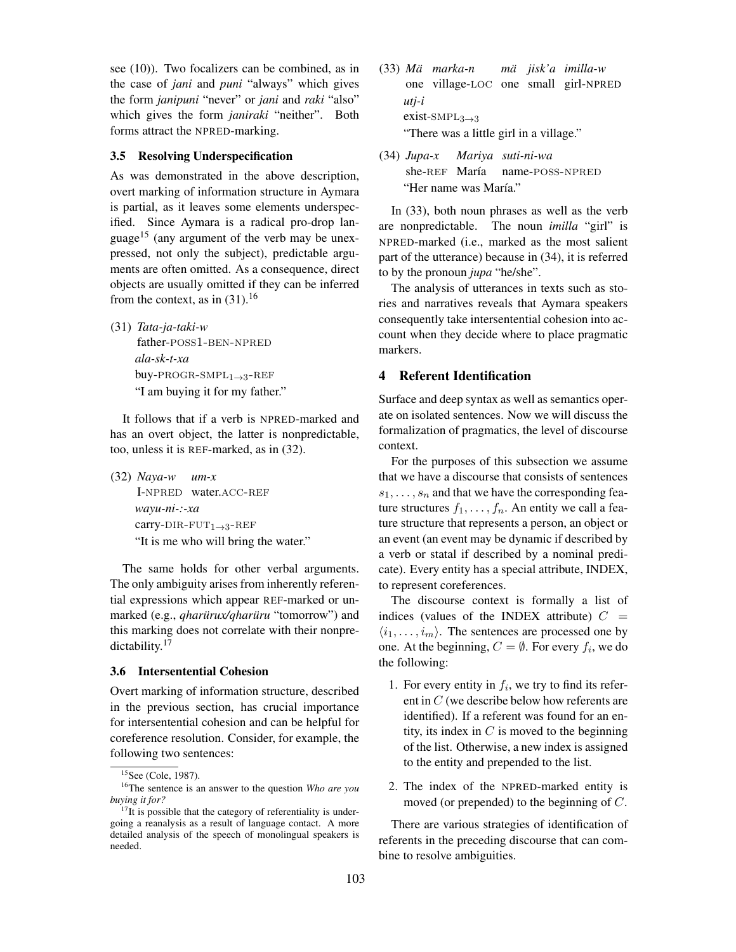see (10)). Two focalizers can be combined, as in the case of *jani* and *puni* "always" which gives the form *janipuni* "never" or *jani* and *raki* "also" which gives the form *janiraki* "neither". Both forms attract the NPRED-marking.

### 3.5 Resolving Underspecification

As was demonstrated in the above description, overt marking of information structure in Aymara is partial, as it leaves some elements underspecified. Since Aymara is a radical pro-drop language<sup>15</sup> (any argument of the verb may be unexpressed, not only the subject), predictable arguments are often omitted. As a consequence, direct objects are usually omitted if they can be inferred from the context, as in  $(31)$ .<sup>16</sup>

(31) *Tata-ja-taki-w* father-poss1-ben-npred *ala-sk-t-xa* buy-PROGR-SMP $L_{1\rightarrow 3}$ -REF

"I am buying it for my father."

It follows that if a verb is NPRED-marked and has an overt object, the latter is nonpredictable, too, unless it is REF-marked, as in (32).

(32) *Naya-w* I-NPRED water.ACC-REF *um-x wayu-ni-:-xa* carry-DIR-FUT<sub>1→3</sub>-REF "It is me who will bring the water."

The same holds for other verbal arguments. The only ambiguity arises from inherently referential expressions which appear REF-marked or unmarked (e.g., *qharürux/qharüru* "tomorrow") and this marking does not correlate with their nonpredictability.<sup>17</sup>

### 3.6 Intersentential Cohesion

Overt marking of information structure, described in the previous section, has crucial importance for intersentential cohesion and can be helpful for coreference resolution. Consider, for example, the following two sentences:

- (33) *Mä marka-n* one village-loc one small girl-NPRED *mä jisk'a imilla-w utj-i* exist-SMP $L_{3\rightarrow3}$ "There was a little girl in a village."
- (34) *Jupa-x* she-REF María *Mariya suti-ni-wa* name-poss-npred "Her name was María."

In (33), both noun phrases as well as the verb are nonpredictable. The noun *imilla* "girl" is NPRED-marked (i.e., marked as the most salient part of the utterance) because in (34), it is referred to by the pronoun *jupa* "he/she".

The analysis of utterances in texts such as stories and narratives reveals that Aymara speakers consequently take intersentential cohesion into account when they decide where to place pragmatic markers.

# 4 Referent Identification

Surface and deep syntax as well as semantics operate on isolated sentences. Now we will discuss the formalization of pragmatics, the level of discourse context.

For the purposes of this subsection we assume that we have a discourse that consists of sentences  $s_1, \ldots, s_n$  and that we have the corresponding feature structures  $f_1, \ldots, f_n$ . An entity we call a feature structure that represents a person, an object or an event (an event may be dynamic if described by a verb or statal if described by a nominal predicate). Every entity has a special attribute, INDEX, to represent coreferences.

The discourse context is formally a list of indices (values of the INDEX attribute)  $C =$  $\langle i_1, \ldots, i_m \rangle$ . The sentences are processed one by one. At the beginning,  $C = \emptyset$ . For every  $f_i$ , we do the following:

- 1. For every entity in  $f_i$ , we try to find its referent in C (we describe below how referents are identified). If a referent was found for an entity, its index in  $C$  is moved to the beginning of the list. Otherwise, a new index is assigned to the entity and prepended to the list.
- 2. The index of the NPRED-marked entity is moved (or prepended) to the beginning of C.

There are various strategies of identification of referents in the preceding discourse that can combine to resolve ambiguities.

 $15$ See (Cole, 1987).

<sup>16</sup>The sentence is an answer to the question *Who are you buying it for?*

 $17$ It is possible that the category of referentiality is undergoing a reanalysis as a result of language contact. A more detailed analysis of the speech of monolingual speakers is needed.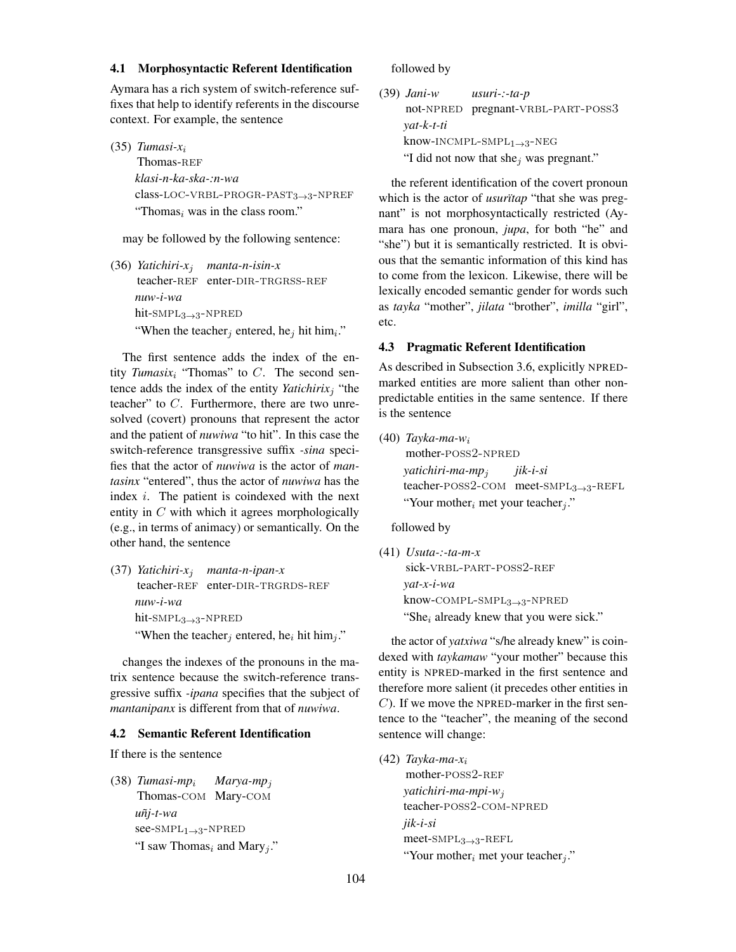#### 4.1 Morphosyntactic Referent Identification

Aymara has a rich system of switch-reference suffixes that help to identify referents in the discourse context. For example, the sentence

(35) *Tumasi-x*<sup>i</sup> Thomas-REF *klasi-n-ka-ska-:n-wa* class-LOC-VRBL-PROGR-PAST3 $\rightarrow$ 3-NPREF "Thomas<sub>i</sub> was in the class room."

may be followed by the following sentence:

(36) *Yatichiri-x*<sup>j</sup> *manta-n-isin-x* teacher-REF enter-DIR-TRGRSS-REF *nuw-i-wa* hit-SMP $L_{3\rightarrow 3}$ -NPRED "When the teacher<sub>j</sub> entered, he<sub>j</sub> hit him<sub>i</sub>."

The first sentence adds the index of the entity *Tumasix<sub>i</sub>* "Thomas" to  $C$ . The second sentence adds the index of the entity *Yatichirix<sub>j</sub>* "the teacher" to  $C$ . Furthermore, there are two unresolved (covert) pronouns that represent the actor and the patient of *nuwiwa* "to hit". In this case the switch-reference transgressive suffix *-sina* specifies that the actor of *nuwiwa* is the actor of *mantasinx* "entered", thus the actor of *nuwiwa* has the index  $i$ . The patient is coindexed with the next entity in  $C$  with which it agrees morphologically (e.g., in terms of animacy) or semantically. On the other hand, the sentence

(37) *Yatichiri-x*<sup>j</sup> *manta-n-ipan-x* teacher-REF enter-DIR-TRGRDS-REF *nuw-i-wa* hit- $\text{SMPL}_{3\rightarrow 3}$ -NPRED "When the teacher<sub>i</sub> entered, he<sub>i</sub> hit him<sub>i</sub>."

changes the indexes of the pronouns in the matrix sentence because the switch-reference transgressive suffix *-ipana* specifies that the subject of *mantanipanx* is different from that of *nuwiwa*.

## 4.2 Semantic Referent Identification

If there is the sentence

(38) *Tumasi-mp*<sup>i</sup> Thomas-com Mary-com *Marya-mp*<sup>j</sup> *uñj-t-wa*  $see-SMPL<sub>1→3</sub>-NPRED$ "I saw Thomas<sub>i</sub> and Mary<sub>j</sub>." followed by

(39) *Jani-w* not-npred pregnant-vrbl-part-poss3 *usuri-:-ta-p yat-k-t-ti* know-INCMPL-SMPL $_{1\rightarrow 3}$ -NEG "I did not now that she<sub>j</sub> was pregnant."

the referent identification of the covert pronoun which is the actor of *usurïtap* "that she was pregnant" is not morphosyntactically restricted (Aymara has one pronoun, *jupa*, for both "he" and "she") but it is semantically restricted. It is obvious that the semantic information of this kind has to come from the lexicon. Likewise, there will be lexically encoded semantic gender for words such as *tayka* "mother", *jilata* "brother", *imilla* "girl", etc.

## 4.3 Pragmatic Referent Identification

As described in Subsection 3.6, explicitly NPREDmarked entities are more salient than other nonpredictable entities in the same sentence. If there is the sentence

(40) *Tayka-ma-w*<sup>i</sup> mother-POSS2-NPRED *yatichiri-ma-mp*<sup>j</sup> teacher-POSS2-COM meet-SMPL<sub>3→3</sub>-REFL *jik-i-si* "Your mother<sub>i</sub> met your teacher<sub>i</sub>."

followed by

(41) *Usuta-:-ta-m-x* sick-VRBL-PART-POSS2-REF *yat-x-i-wa* know-compl-smpl3→3-npred "She<sub>i</sub> already knew that you were sick."

the actor of *yatxiwa* "s/he already knew" is coindexed with *taykamaw* "your mother" because this entity is NPRED-marked in the first sentence and therefore more salient (it precedes other entities in  $C$ ). If we move the NPRED-marker in the first sentence to the "teacher", the meaning of the second sentence will change:

(42) *Tayka-ma-x*<sup>i</sup> mother-POSS2-REF *yatichiri-ma-mpi-w*<sup>j</sup> teacher-poss2-com-npred *jik-i-si*  $meet$ -SMP $L_{3\rightarrow 3}$ -REFL "Your mother<sub>i</sub> met your teacher<sub>j</sub>."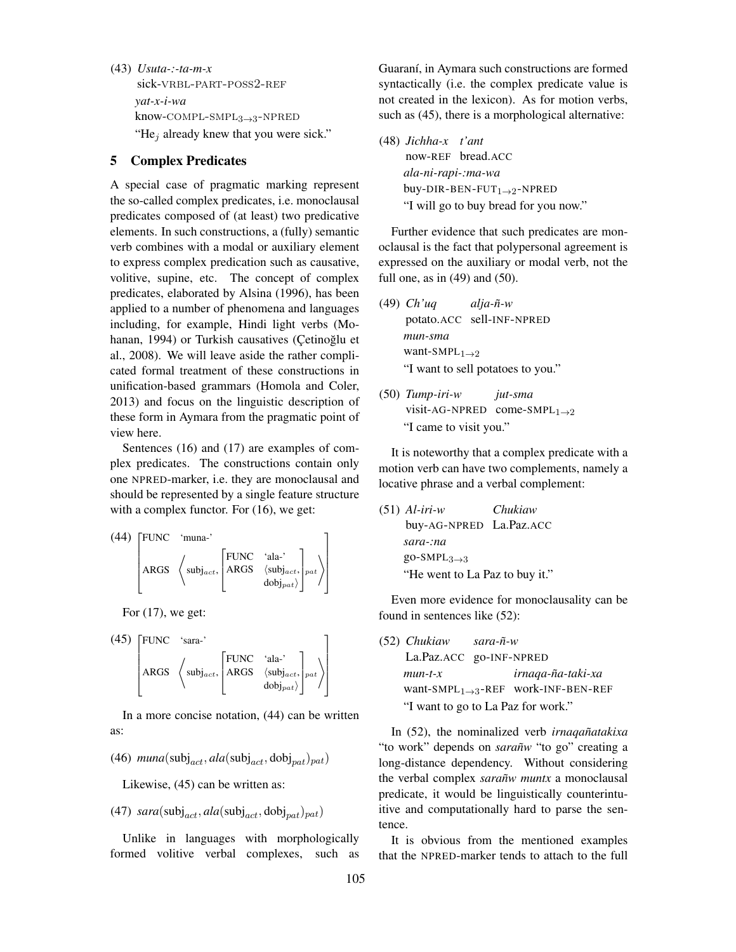(43) *Usuta-:-ta-m-x* sick-VRBL-PART-POSS2-REF *yat-x-i-wa*  $know$ - $COMPL$ - $SMPL_{3\rightarrow 3}$ - $NPRED$ "He<sub>j</sub> already knew that you were sick."

## 5 Complex Predicates

A special case of pragmatic marking represent the so-called complex predicates, i.e. monoclausal predicates composed of (at least) two predicative elements. In such constructions, a (fully) semantic verb combines with a modal or auxiliary element to express complex predication such as causative, volitive, supine, etc. The concept of complex predicates, elaborated by Alsina (1996), has been applied to a number of phenomena and languages including, for example, Hindi light verbs (Mohanan, 1994) or Turkish causatives (Çetinoğlu et al., 2008). We will leave aside the rather complicated formal treatment of these constructions in unification-based grammars (Homola and Coler, 2013) and focus on the linguistic description of these form in Aymara from the pragmatic point of view here.

Sentences (16) and (17) are examples of complex predicates. The constructions contain only one NPRED-marker, i.e. they are monoclausal and should be represented by a single feature structure with a complex functor. For  $(16)$ , we get:

(44) FUNC 'muna-'  $\left|\text{ARGS }\right.\left\langle \text{subj}_{act},\right.$  $\Gamma$  $\mathbf{r}$ FUNC 'ala-' ARGS  $\langle \text{subj}_{act},$  $\left<{\rm dobj}_{pat}\right>$ 1  $\bigg|_{pat}\bigg\rangle$ 1  $\parallel$ 

For  $(17)$ , we get:

(45) FUNC 'sara-'  $\left|\text{ARGS }\right.\left\langle \text{subj}_{act},\right.$  $\Gamma$  $\mathbf{r}$ FUNC 'ala-' ARGS  $\langle \text{subj}_{act},$  $\left<{\rm dobj}_{pat}\right>$ 1  $\left|\left|_{pat}\right>\right|$ T

In a more concise notation, (44) can be written as:

(46)  $muna(subj_{act}, ala(subj_{act}, dobj_{pat})_{pat})$ 

Likewise, (45) can be written as:

(47)  $sara(subj_{act}, ala(subj_{act}, dobj_{nat})_{pat})$ 

Unlike in languages with morphologically formed volitive verbal complexes, such as Guaraní, in Aymara such constructions are formed syntactically (i.e. the complex predicate value is not created in the lexicon). As for motion verbs, such as (45), there is a morphological alternative:

(48) *Jichha-x t'ant* now-REF bread.ACC *ala-ni-rapi-:ma-wa* buy-DIR-BEN-FUT<sub>1→2</sub>-NPRED "I will go to buy bread for you now."

Further evidence that such predicates are monoclausal is the fact that polypersonal agreement is expressed on the auxiliary or modal verb, not the full one, as in  $(49)$  and  $(50)$ .

- (49) *Ch'uq* potato.ACC sell-INF-NPRED *alja-ñ-w mun-sma* want-SMPL $_{1\rightarrow 2}$ "I want to sell potatoes to you."
- (50) *Tump-iri-w* visit-AG-NPRED come-SMPL $_{1\rightarrow 2}$ *jut-sma* "I came to visit you."

It is noteworthy that a complex predicate with a motion verb can have two complements, namely a locative phrase and a verbal complement:

(51) *Al-iri-w* buy-AG-NPRED La.Paz.ACC *Chukiaw sara-:na* go-SMPL $_{3\rightarrow 3}$ "He went to La Paz to buy it."

Even more evidence for monoclausality can be found in sentences like (52):

(52) *Chukiaw* La.Paz.ACC go-INF-NPRED *sara-ñ-w mun-t-x* want-SMPL1→3-REF work-INF-BEN-REF *irnaqa-ña-taki-xa* "I want to go to La Paz for work."

In (52), the nominalized verb *irnaqañatakixa* "to work" depends on *sarañw* "to go" creating a long-distance dependency. Without considering the verbal complex *sarañw muntx* a monoclausal predicate, it would be linguistically counterintuitive and computationally hard to parse the sentence.

It is obvious from the mentioned examples that the NPRED-marker tends to attach to the full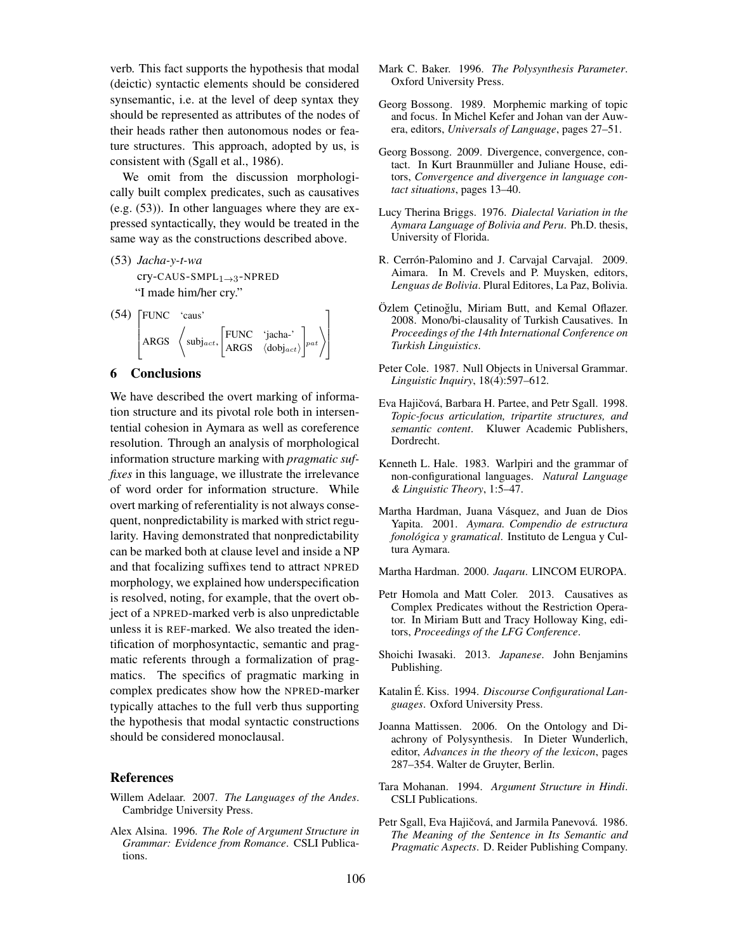verb. This fact supports the hypothesis that modal (deictic) syntactic elements should be considered synsemantic, i.e. at the level of deep syntax they should be represented as attributes of the nodes of their heads rather then autonomous nodes or feature structures. This approach, adopted by us, is consistent with (Sgall et al., 1986).

We omit from the discussion morphologically built complex predicates, such as causatives (e.g. (53)). In other languages where they are expressed syntactically, they would be treated in the same way as the constructions described above.

- (53) *Jacha-y-t-wa* cry-CAUS-SMPL1→3-NPRED "I made him/her cry."
- (54) FUNC 'caus'  $\left| \text{ARGS} \right|$   $\left\langle \text{subj}_{act}, \right|$ [FUNC 'jacha-' ARGS  $\langle \text{dobj}_{act} \rangle$  $\bigg]_{pat}$ T  $\parallel$

## 6 Conclusions

We have described the overt marking of information structure and its pivotal role both in intersentential cohesion in Aymara as well as coreference resolution. Through an analysis of morphological information structure marking with *pragmatic suffixes* in this language, we illustrate the irrelevance of word order for information structure. While overt marking of referentiality is not always consequent, nonpredictability is marked with strict regularity. Having demonstrated that nonpredictability can be marked both at clause level and inside a NP and that focalizing suffixes tend to attract NPRED morphology, we explained how underspecification is resolved, noting, for example, that the overt object of a NPRED-marked verb is also unpredictable unless it is REF-marked. We also treated the identification of morphosyntactic, semantic and pragmatic referents through a formalization of pragmatics. The specifics of pragmatic marking in complex predicates show how the NPRED-marker typically attaches to the full verb thus supporting the hypothesis that modal syntactic constructions should be considered monoclausal.

#### **References**

- Willem Adelaar. 2007. *The Languages of the Andes*. Cambridge University Press.
- Alex Alsina. 1996. *The Role of Argument Structure in Grammar: Evidence from Romance*. CSLI Publications.
- Mark C. Baker. 1996. *The Polysynthesis Parameter*. Oxford University Press.
- Georg Bossong. 1989. Morphemic marking of topic and focus. In Michel Kefer and Johan van der Auwera, editors, *Universals of Language*, pages 27–51.
- Georg Bossong. 2009. Divergence, convergence, contact. In Kurt Braunmüller and Juliane House, editors, *Convergence and divergence in language contact situations*, pages 13–40.
- Lucy Therina Briggs. 1976. *Dialectal Variation in the Aymara Language of Bolivia and Peru*. Ph.D. thesis, University of Florida.
- R. Cerrón-Palomino and J. Carvajal Carvajal. 2009. Aimara. In M. Crevels and P. Muysken, editors, *Lenguas de Bolivia*. Plural Editores, La Paz, Bolivia.
- Özlem Çetinoğlu, Miriam Butt, and Kemal Oflazer. 2008. Mono/bi-clausality of Turkish Causatives. In *Proceedings of the 14th International Conference on Turkish Linguistics*.
- Peter Cole. 1987. Null Objects in Universal Grammar. *Linguistic Inquiry*, 18(4):597–612.
- Eva Hajičová, Barbara H. Partee, and Petr Sgall. 1998. *Topic-focus articulation, tripartite structures, and semantic content*. Kluwer Academic Publishers, Dordrecht.
- Kenneth L. Hale. 1983. Warlpiri and the grammar of non-configurational languages. *Natural Language & Linguistic Theory*, 1:5–47.
- Martha Hardman, Juana Vásquez, and Juan de Dios Yapita. 2001. *Aymara. Compendio de estructura fonológica y gramatical*. Instituto de Lengua y Cultura Aymara.
- Martha Hardman. 2000. *Jaqaru*. LINCOM EUROPA.
- Petr Homola and Matt Coler. 2013. Causatives as Complex Predicates without the Restriction Operator. In Miriam Butt and Tracy Holloway King, editors, *Proceedings of the LFG Conference*.
- Shoichi Iwasaki. 2013. *Japanese*. John Benjamins Publishing.
- Katalin É. Kiss. 1994. *Discourse Configurational Languages*. Oxford University Press.
- Joanna Mattissen. 2006. On the Ontology and Diachrony of Polysynthesis. In Dieter Wunderlich, editor, *Advances in the theory of the lexicon*, pages 287–354. Walter de Gruyter, Berlin.
- Tara Mohanan. 1994. *Argument Structure in Hindi*. CSLI Publications.
- Petr Sgall, Eva Hajičová, and Jarmila Panevová, 1986. *The Meaning of the Sentence in Its Semantic and Pragmatic Aspects*. D. Reider Publishing Company.